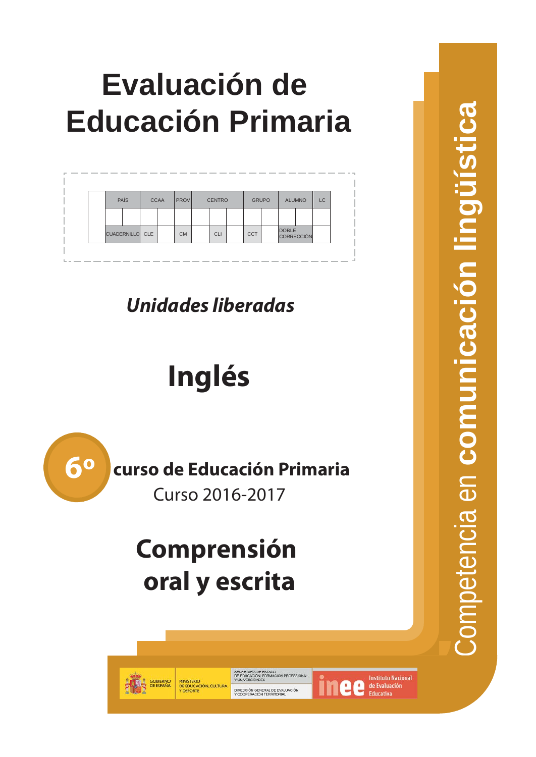# **Evaluación de Educación Primaria**

|                        | PAÍS | <b>CCAA</b> | <b>PROV</b> | <b>CENTRO</b> | <b>GRUPO</b> |              | <b>ALUMNO</b>     | <b>LC</b> |
|------------------------|------|-------------|-------------|---------------|--------------|--------------|-------------------|-----------|
|                        |      |             |             |               |              |              |                   |           |
| <b>CUADERNILLO</b> CLE |      |             | <b>CM</b>   | <b>CLI</b>    | <b>CCT</b>   | <b>DOBLE</b> | <b>CORRECCIÓN</b> |           |

*Unidades liberadas*

# **Inglés**



## **Comp rensión oral y escrita**

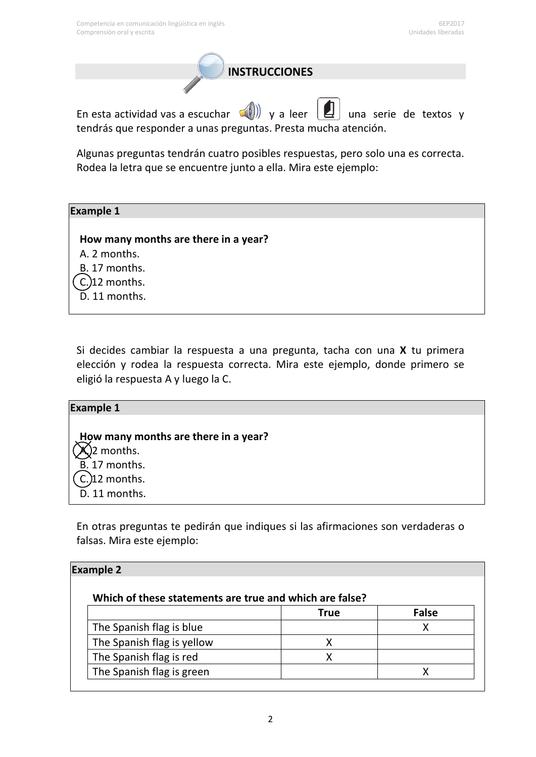**INSTRUCCIONES**

En esta actividad vas a escuchar  $\leq$  )) y a leer  $\lfloor 2 \rfloor$  una serie de textos y tendrás que responder a unas preguntas. Presta mucha atención.

Algunas preguntas tendrán cuatro posibles respuestas, pero solo una es correcta. Rodea la letra que se encuentre junto a ella. Mira este ejemplo:

#### **Example 1**

**How many months are there in a year?** A. 2 months. B. 17 months.  $C<sub>2</sub>$ )12 months. D. 11 months.

Si decides cambiar la respuesta a una pregunta, tacha con una **X** tu primera elección y rodea la respuesta correcta. Mira este ejemplo, donde primero se eligió la respuesta A y luego la C.

| <b>Example 1</b>                     |  |
|--------------------------------------|--|
|                                      |  |
| How many months are there in a year? |  |
| $\mathbf{X}$ )2 months.              |  |
| B. 17 months.                        |  |
| $($ C.) 12 months.                   |  |
| D. 11 months.                        |  |

En otras preguntas te pedirán que indiques si las afirmaciones son verdaderas o falsas. Mira este ejemplo:

| Which of these statements are true and which are false? |             |              |
|---------------------------------------------------------|-------------|--------------|
|                                                         | <b>True</b> | <b>False</b> |
| The Spanish flag is blue                                |             | x            |
| The Spanish flag is yellow                              |             |              |
| The Spanish flag is red                                 |             |              |
| The Spanish flag is green                               |             |              |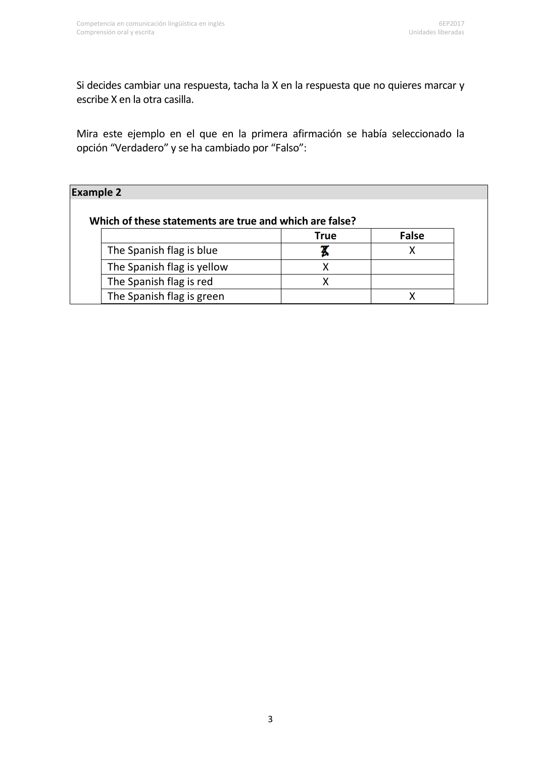Si decides cambiar una respuesta, tacha la X en la respuesta que no quieres marcar y escribe X en la otra casilla.

Mira este ejemplo en el que en la primera afirmación se había seleccionado la opción "Verdadero" y se ha cambiado por "Falso":

| <b>Example 2</b>                                        |             |       |
|---------------------------------------------------------|-------------|-------|
| Which of these statements are true and which are false? |             |       |
|                                                         | <b>True</b> | False |
| The Spanish flag is blue                                |             |       |
| The Spanish flag is yellow                              |             |       |
| The Spanish flag is red                                 |             |       |
| The Spanish flag is green                               |             |       |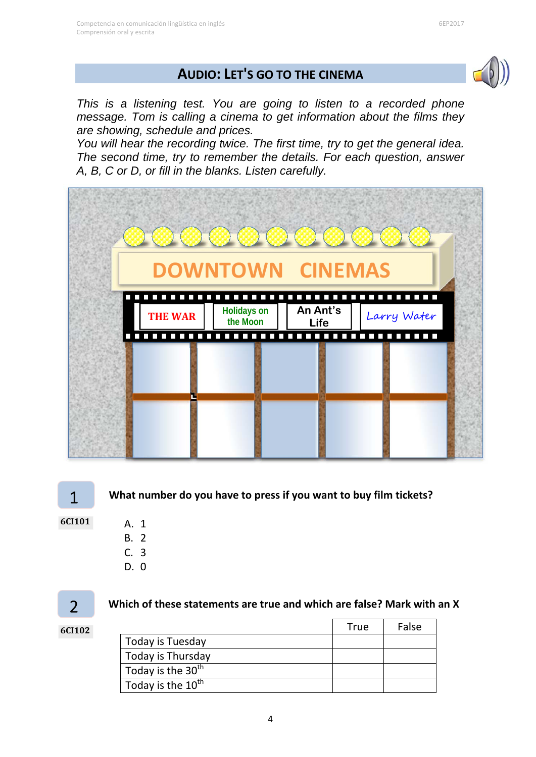## **AUDIO: LET'S GO TO THE CINEMA**



6EP2017

*This is a listening test. You are going to listen to a recorded phone message. Tom is calling a cinema to get information about the films they are showing, schedule and prices.* 

*You will hear the recording twice. The first time, try to get the general idea. The second time, try to remember the details. For each question, answer A, B, C or D, or fill in the blanks. Listen carefully.* 



**6CI101**

1

- A. 1 B. 2
- C. 3
- D. 0

 $\overline{\phantom{0}}$ 

**6CI102**

#### **Which of these statements are true and which are false? Mark with an X**

|                               | <b>True</b> | False |
|-------------------------------|-------------|-------|
| Today is Tuesday              |             |       |
| Today is Thursday             |             |       |
| Today is the 30 <sup>th</sup> |             |       |
| Today is the 10 <sup>th</sup> |             |       |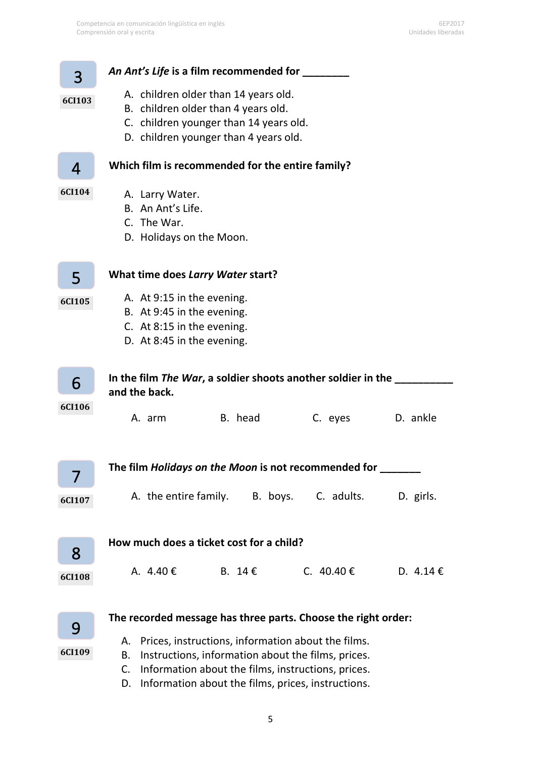| 3             | An Ant's Life is a film recommended for _____                                                                  |
|---------------|----------------------------------------------------------------------------------------------------------------|
| 6CI103        | A. children older than 14 years old.<br>B. children older than 4 years old.                                    |
|               | C. children younger than 14 years old.                                                                         |
|               | D. children younger than 4 years old.                                                                          |
| 4             | Which film is recommended for the entire family?                                                               |
| 6CI104        | A. Larry Water.                                                                                                |
|               | B. An Ant's Life.                                                                                              |
|               | C. The War.                                                                                                    |
|               | D. Holidays on the Moon.                                                                                       |
|               |                                                                                                                |
| 5             | What time does Larry Water start?                                                                              |
| <b>6CI105</b> | A. At 9:15 in the evening.                                                                                     |
|               | B. At 9:45 in the evening.<br>C. At 8:15 in the evening.                                                       |
|               | D. At 8:45 in the evening.                                                                                     |
|               |                                                                                                                |
| 6             | In the film The War, a soldier shoots another soldier in the<br>and the back.                                  |
| 6CI106        |                                                                                                                |
|               | B. head<br>C. eyes<br>D. ankle<br>A. arm                                                                       |
|               |                                                                                                                |
|               |                                                                                                                |
|               | The film <i>Holidays on the Moon</i> is not recommended for                                                    |
| 6CI107        | A. the entire family. B. boys. C. adults.<br>D. girls.                                                         |
|               |                                                                                                                |
|               |                                                                                                                |
| 8             | How much does a ticket cost for a child?                                                                       |
| 6CI108        | C. 40.40 €<br>A. $4.40 \text{€}$<br>B. 14€<br>D. 4.14 €                                                        |
|               |                                                                                                                |
|               |                                                                                                                |
| 9             | The recorded message has three parts. Choose the right order:                                                  |
|               | Prices, instructions, information about the films.<br>А.                                                       |
|               | C.                                                                                                             |
| 6CI109        | Instructions, information about the films, prices.<br>В.<br>Information about the films, instructions, prices. |

D. Information about the films, prices, instructions.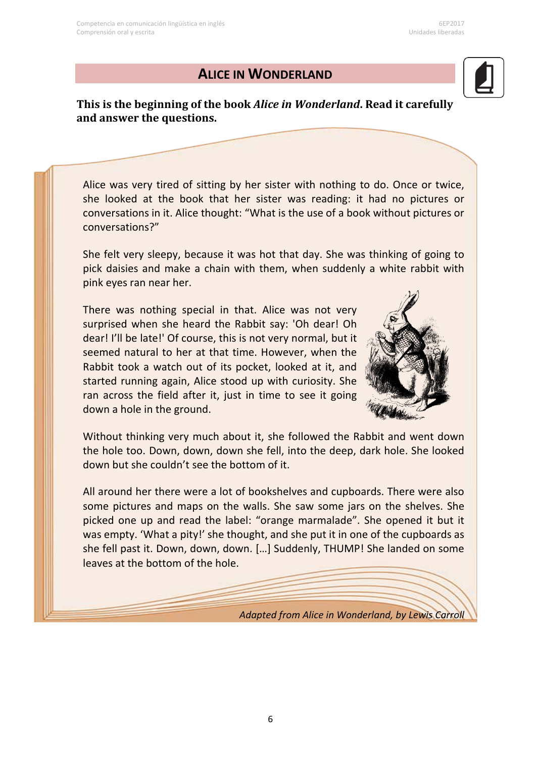#### **ALICE IN WONDERLAND**

**This is the beginning of the book** *Alice in Wonderland***. Read it carefully and answer the questions.**

Alice was very tired of sitting by her sister with nothing to do. Once or twice, she looked at the book that her sister was reading: it had no pictures or conversations in it. Alice thought: "What is the use of a book without pictures or conversations?"

She felt very sleepy, because it was hot that day. She was thinking of going to pick daisies and make a chain with them, when suddenly a white rabbit with pink eyes ran near her.

There was nothing special in that. Alice was not very surprised when she heard the Rabbit say: 'Oh dear! Oh dear! I'll be late!' Of course, this is not very normal, but it seemed natural to her at that time. However, when the Rabbit took a watch out of its pocket, looked at it, and started running again, Alice stood up with curiosity. She ran across the field after it, just in time to see it going down a hole in the ground.



Without thinking very much about it, she followed the Rabbit and went down the hole too. Down, down, down she fell, into the deep, dark hole. She looked down but she couldn't see the bottom of it.

All around her there were a lot of bookshelves and cupboards. There were also some pictures and maps on the walls. She saw some jars on the shelves. She picked one up and read the label: "orange marmalade". She opened it but it was empty. 'What a pity!' she thought, and she put it in one of the cupboards as she fell past it. Down, down, down. […] Suddenly, THUMP! She landed on some leaves at the bottom of the hole.

*Adapted from Alice in Wonderland, by Lewis Carroll*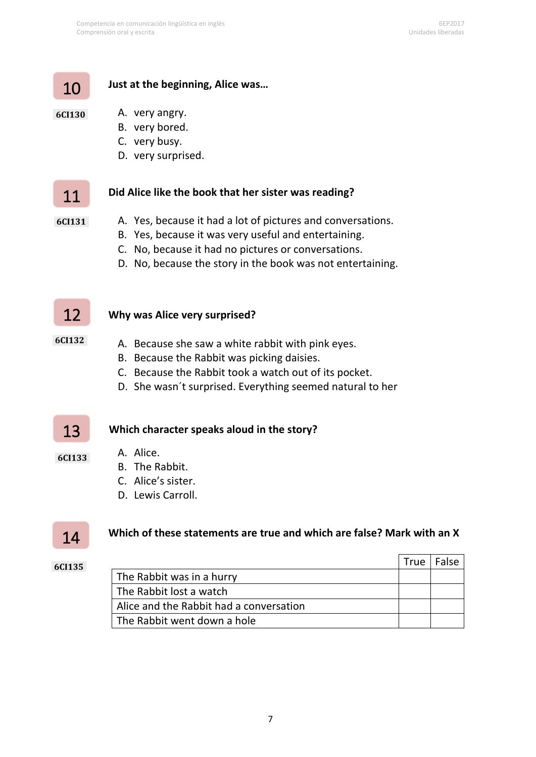#### **Just at the beginning, Alice was…**

#### **6CI130**

10

- A. very angry. B. very bored.
- C. very busy.
- D. very surprised.

## 11

#### **Did Alice like the book that her sister was reading?**

**6CI131** 

- A. Yes, because it had a lot of pictures and conversations.
- B. Yes, because it was very useful and entertaining.
- C. No, because it had no pictures or conversations.
- D. No, because the story in the book was not entertaining.

## 12

**6CI132** 

#### **Why was Alice very surprised?**

- A. Because she saw a white rabbit with pink eyes.
- B. Because the Rabbit was picking daisies.
- C. Because the Rabbit took a watch out of its pocket.
- D. She wasn´t surprised. Everything seemed natural to her

#### **Which character speaks aloud in the story?** 13

- A. Alice.
- B. The Rabbit.
- C. Alice's sister.
- D. Lewis Carroll.

## 14

**6CI133** 

#### **Which of these statements are true and which are false? Mark with an X**

#### **6CI135**

|                                         | <b>True</b> | False |
|-----------------------------------------|-------------|-------|
| The Rabbit was in a hurry               |             |       |
| The Rabbit lost a watch                 |             |       |
| Alice and the Rabbit had a conversation |             |       |
| The Rabbit went down a hole             |             |       |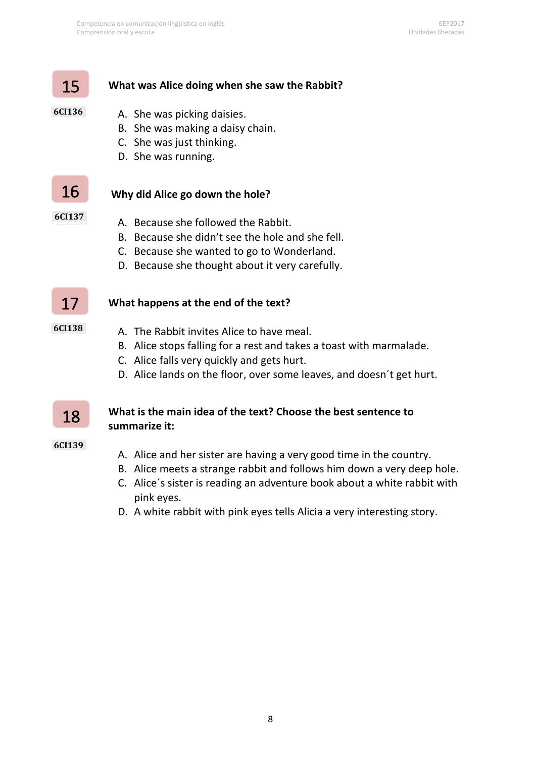#### **What was Alice doing when she saw the Rabbit?**

#### **6CI136**

15

- A. She was picking daisies.
- B. She was making a daisy chain.
- C. She was just thinking.
- D. She was running.

## 16

#### **Why did Alice go down the hole?**

- **6CI137**
- A. Because she followed the Rabbit.
- B. Because she didn't see the hole and she fell.
- C. Because she wanted to go to Wonderland.
- D. Because she thought about it very carefully.



#### **What happens at the end of the text?**

- **6CI138**
- A. The Rabbit invites Alice to have meal.
- B. Alice stops falling for a rest and takes a toast with marmalade.
- C. Alice falls very quickly and gets hurt.
- D. Alice lands on the floor, over some leaves, and doesn´t get hurt.

#### **What is the main idea of the text? Choose the best sentence to summarize it:**

#### **6CI139**

18

- A. Alice and her sister are having a very good time in the country.
- B. Alice meets a strange rabbit and follows him down a very deep hole.
- C. Alice´s sister is reading an adventure book about a white rabbit with pink eyes.
- D. A white rabbit with pink eyes tells Alicia a very interesting story.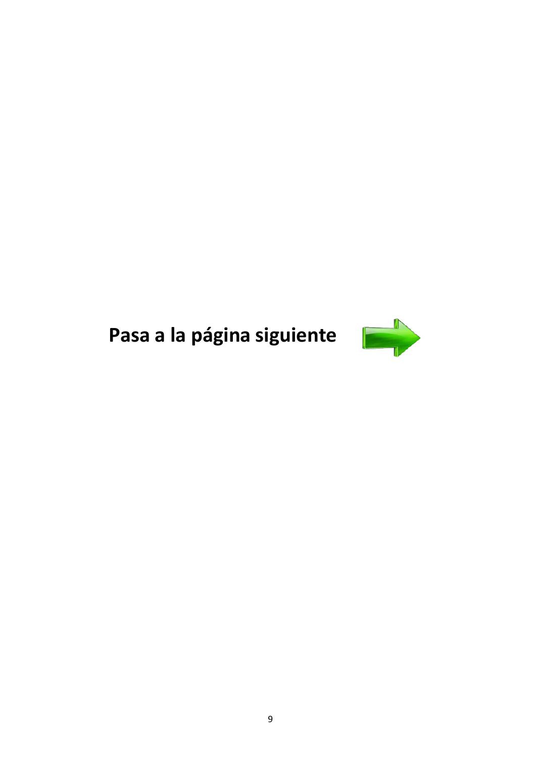# Pasa a la página siguiente

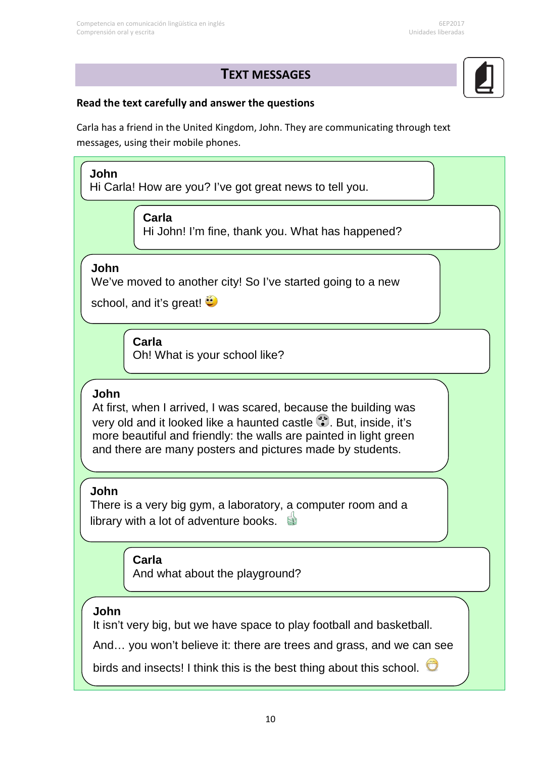### **TEXT MESSAGES**

#### **Read the text carefully and answer the questions**

Carla has a friend in the United Kingdom, John. They are communicating through text messages, using their mobile phones.

**The t Carla** Hi John! I'm fine, thank you. What has happened? **John** Hi Carla! How are you? I've got great news to tell you. **John** We've moved to another city! So I've started going to a new school, and it's great! **Carla** Oh! What is your school like? **Carla** And what about the playground? **John** At first, when I arrived, I was scared, because the building was very old and it looked like a haunted castle . But, inside, it's more beautiful and friendly: the walls are painted in light green and there are many posters and pictures made by students. **John** It isn't very big, but we have space to play football and basketball. And… you won't believe it: there are trees and grass, and we can see birds and insects! I think this is the best thing about this school.  $\Box$ **John** There is a very big gym, a laboratory, a computer room and a library with a lot of adventure books.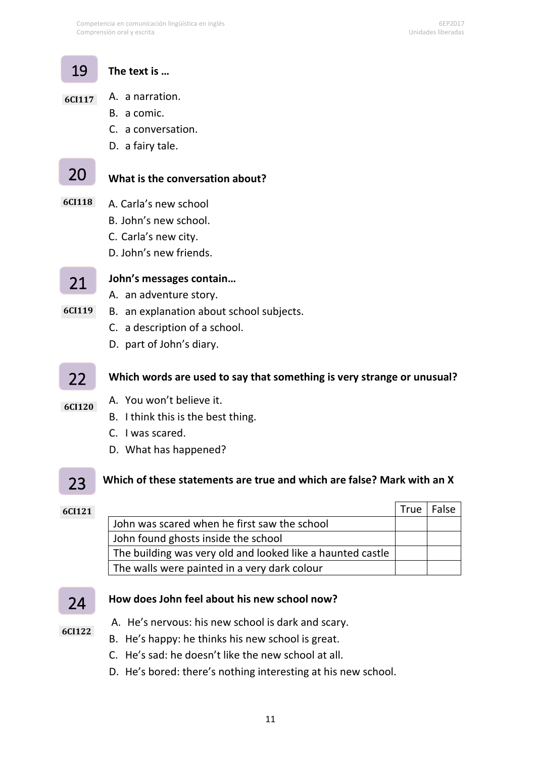#### **The text is …** 19

#### A. a narration. **6CI117**

- B. a comic.
- C. a conversation.
- D. a fairy tale.

## 20

#### **What is the conversation about?**

- A. Carla's new school **6CI118** 
	- B. John's new school.
	- C. Carla's new city.
	- D. John's new friends.

#### **John's messages contain…** 21

- A. an adventure story.
- B. an explanation about school subjects. **6CI119** 
	- C. a description of a school.
	- D. part of John's diary.

#### **Which words are used to say that something is very strange or unusual?** 22

- A. You won't believe it. **6CI120** 
	- B. I think this is the best thing.
	- C. I was scared.
	- D. What has happened?

#### **Which of these statements are true and which are false? Mark with an X** 23

| 6CI121 |                                                            | True | False |
|--------|------------------------------------------------------------|------|-------|
|        | John was scared when he first saw the school               |      |       |
|        | John found ghosts inside the school                        |      |       |
|        | The building was very old and looked like a haunted castle |      |       |
|        | The walls were painted in a very dark colour               |      |       |

#### 24

Ï

#### **How does John feel about his new school now?**

**6CI122** 

- A. He's nervous: his new school is dark and scary.
- B. He's happy: he thinks his new school is great.
- C. He's sad: he doesn't like the new school at all.
- D. He's bored: there's nothing interesting at his new school.